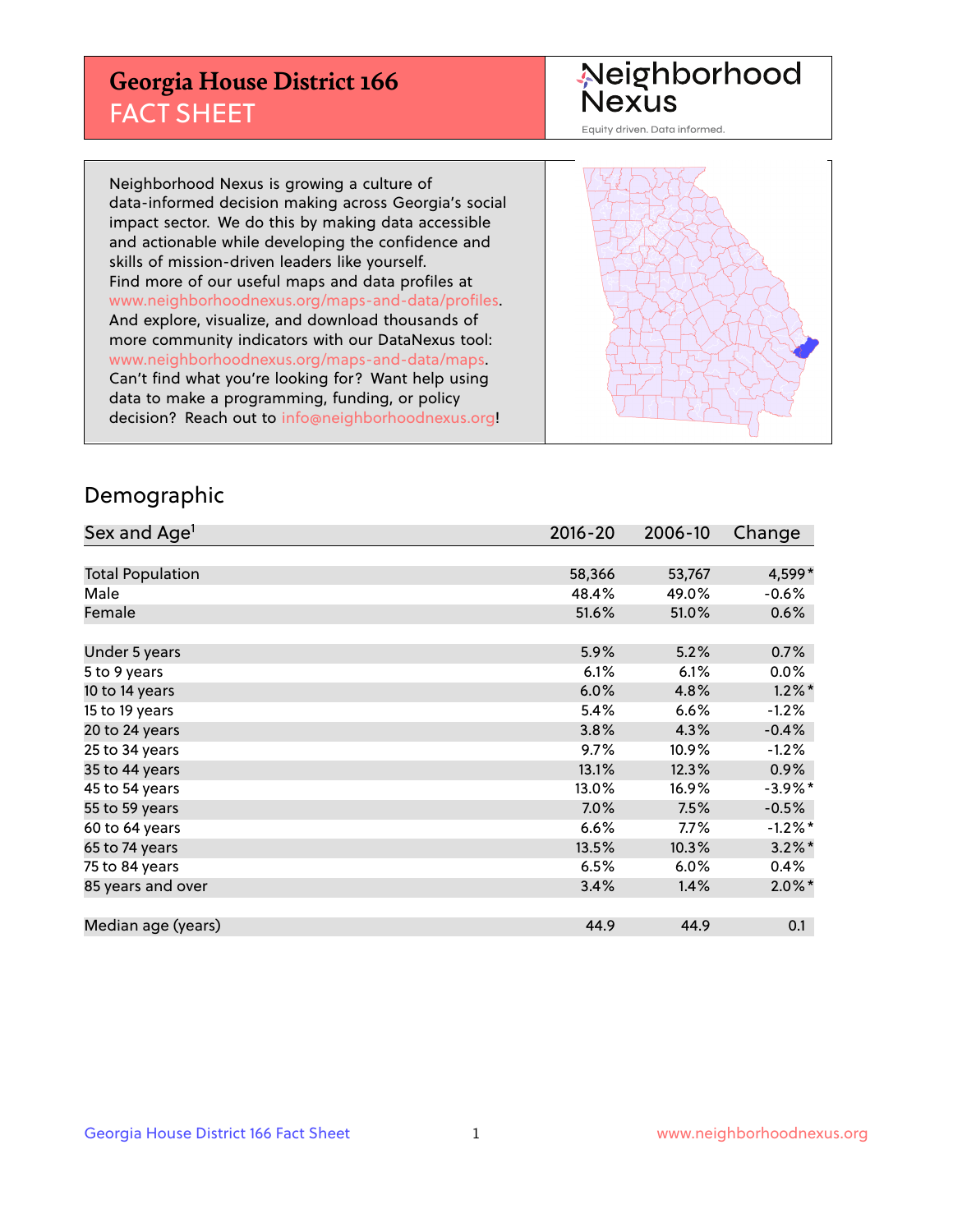## **Georgia House District 166** FACT SHEET

# Neighborhood<br>Nexus

Equity driven. Data informed.

Neighborhood Nexus is growing a culture of data-informed decision making across Georgia's social impact sector. We do this by making data accessible and actionable while developing the confidence and skills of mission-driven leaders like yourself. Find more of our useful maps and data profiles at www.neighborhoodnexus.org/maps-and-data/profiles. And explore, visualize, and download thousands of more community indicators with our DataNexus tool: www.neighborhoodnexus.org/maps-and-data/maps. Can't find what you're looking for? Want help using data to make a programming, funding, or policy decision? Reach out to [info@neighborhoodnexus.org!](mailto:info@neighborhoodnexus.org)



### Demographic

| Sex and Age <sup>1</sup> | $2016 - 20$ | 2006-10 | Change     |
|--------------------------|-------------|---------|------------|
|                          |             |         |            |
| <b>Total Population</b>  | 58,366      | 53,767  | 4,599*     |
| Male                     | 48.4%       | 49.0%   | $-0.6%$    |
| Female                   | 51.6%       | 51.0%   | $0.6\%$    |
|                          |             |         |            |
| Under 5 years            | 5.9%        | 5.2%    | 0.7%       |
| 5 to 9 years             | 6.1%        | 6.1%    | $0.0\%$    |
| 10 to 14 years           | 6.0%        | 4.8%    | $1.2\%$ *  |
| 15 to 19 years           | 5.4%        | 6.6%    | $-1.2%$    |
| 20 to 24 years           | 3.8%        | 4.3%    | $-0.4%$    |
| 25 to 34 years           | $9.7\%$     | 10.9%   | $-1.2%$    |
| 35 to 44 years           | 13.1%       | 12.3%   | $0.9\%$    |
| 45 to 54 years           | 13.0%       | 16.9%   | $-3.9\%$ * |
| 55 to 59 years           | 7.0%        | 7.5%    | $-0.5%$    |
| 60 to 64 years           | 6.6%        | 7.7%    | $-1.2\%$ * |
| 65 to 74 years           | 13.5%       | 10.3%   | $3.2\%$ *  |
| 75 to 84 years           | 6.5%        | 6.0%    | $0.4\%$    |
| 85 years and over        | 3.4%        | 1.4%    | $2.0\%$ *  |
|                          |             |         |            |
| Median age (years)       | 44.9        | 44.9    | 0.1        |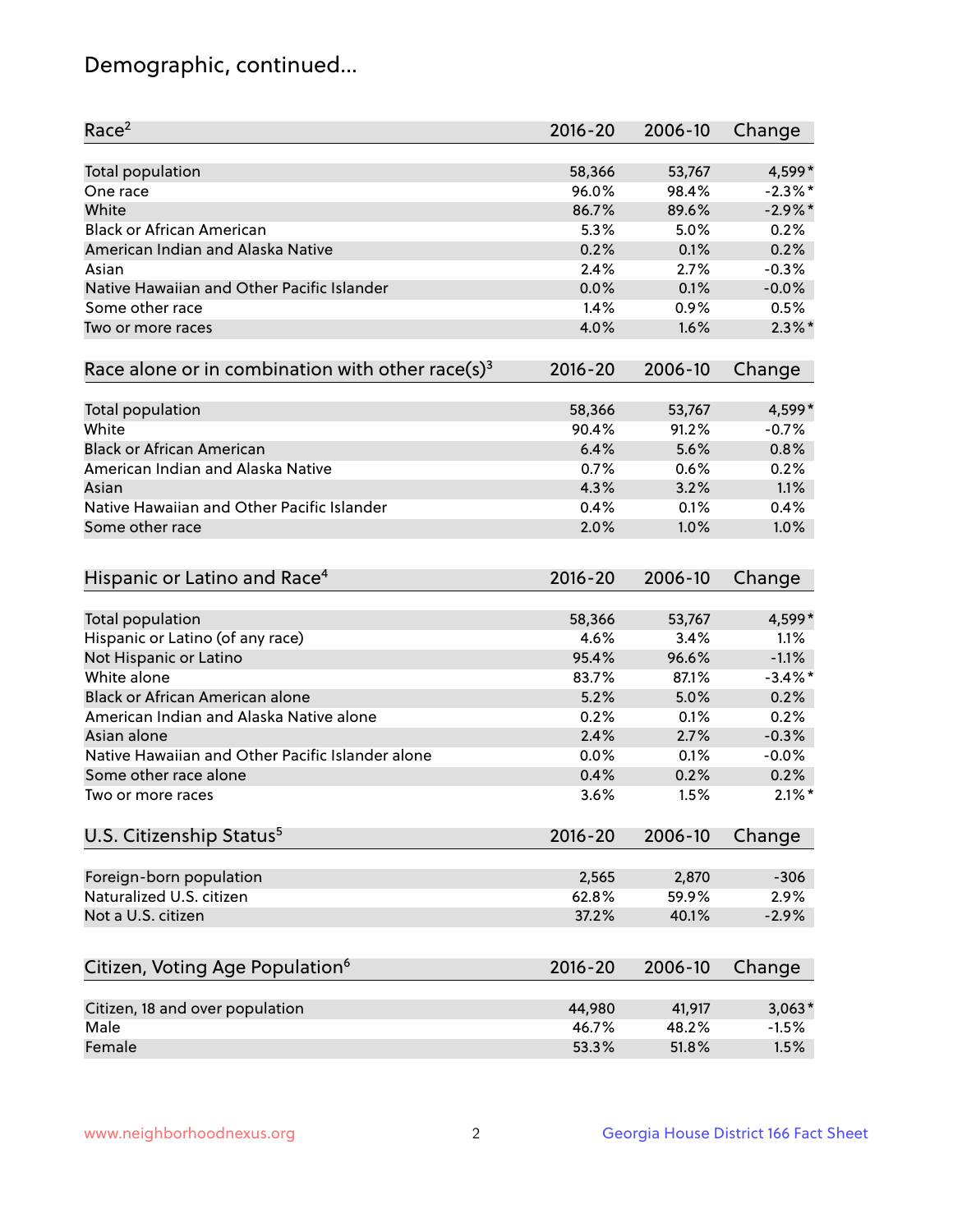## Demographic, continued...

| Race <sup>2</sup>                                            | $2016 - 20$ | 2006-10 | Change               |
|--------------------------------------------------------------|-------------|---------|----------------------|
| Total population                                             | 58,366      | 53,767  | 4,599*               |
| One race                                                     | 96.0%       | 98.4%   | $-2.3\%$ *           |
| White                                                        | 86.7%       | 89.6%   | $-2.9%$ *            |
| <b>Black or African American</b>                             | 5.3%        | 5.0%    | 0.2%                 |
| American Indian and Alaska Native                            | 0.2%        | 0.1%    | 0.2%                 |
| Asian                                                        | 2.4%        | 2.7%    | $-0.3%$              |
| Native Hawaiian and Other Pacific Islander                   | 0.0%        | 0.1%    | $-0.0%$              |
| Some other race                                              | 1.4%        | 0.9%    | 0.5%                 |
| Two or more races                                            | 4.0%        | 1.6%    | $2.3\%$ *            |
| Race alone or in combination with other race(s) <sup>3</sup> | $2016 - 20$ | 2006-10 | Change               |
| Total population                                             | 58,366      | 53,767  | 4,599*               |
| White                                                        | 90.4%       | 91.2%   | $-0.7%$              |
| <b>Black or African American</b>                             | 6.4%        | 5.6%    | 0.8%                 |
| American Indian and Alaska Native                            | 0.7%        | 0.6%    | 0.2%                 |
| Asian                                                        | 4.3%        | 3.2%    | 1.1%                 |
| Native Hawaiian and Other Pacific Islander                   | 0.4%        | 0.1%    | 0.4%                 |
| Some other race                                              | 2.0%        | 1.0%    | 1.0%                 |
| Hispanic or Latino and Race <sup>4</sup>                     | $2016 - 20$ | 2006-10 | Change               |
| <b>Total population</b>                                      | 58,366      | 53,767  | 4,599*               |
| Hispanic or Latino (of any race)                             | 4.6%        | 3.4%    | 1.1%                 |
| Not Hispanic or Latino                                       | 95.4%       | 96.6%   | $-1.1%$              |
| White alone                                                  | 83.7%       | 87.1%   | $-3.4\%$ *           |
| <b>Black or African American alone</b>                       | 5.2%        | 5.0%    | 0.2%                 |
| American Indian and Alaska Native alone                      | 0.2%        | 0.1%    | 0.2%                 |
| Asian alone                                                  | 2.4%        | 2.7%    | $-0.3%$              |
| Native Hawaiian and Other Pacific Islander alone             | 0.0%        | 0.1%    | $-0.0%$              |
| Some other race alone                                        | 0.4%        | 0.2%    | 0.2%                 |
| Two or more races                                            | 3.6%        | 1.5%    | $2.1\%$ <sup>*</sup> |
| U.S. Citizenship Status <sup>5</sup>                         | 2016-20     | 2006-10 | Change               |
| Foreign-born population                                      | 2,565       | 2,870   | $-306$               |
| Naturalized U.S. citizen                                     | 62.8%       | 59.9%   | 2.9%                 |
| Not a U.S. citizen                                           | 37.2%       | 40.1%   | $-2.9%$              |
|                                                              |             |         |                      |
| Citizen, Voting Age Population <sup>6</sup>                  | 2016-20     | 2006-10 | Change               |
| Citizen, 18 and over population                              | 44,980      | 41,917  | $3,063*$             |
| Male                                                         | 46.7%       | 48.2%   | $-1.5%$              |
| Female                                                       | 53.3%       | 51.8%   | 1.5%                 |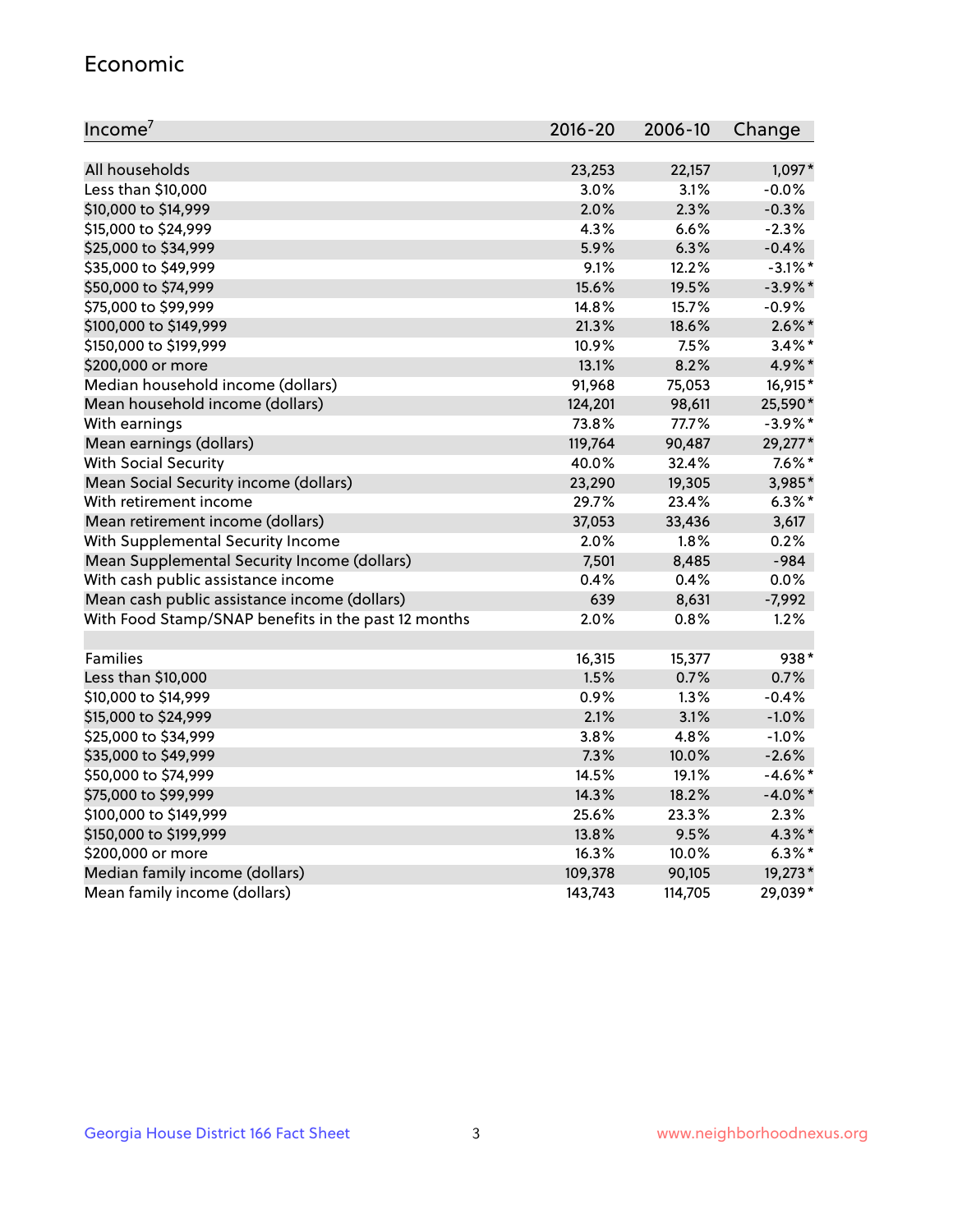#### Economic

| Income <sup>7</sup>                                 | $2016 - 20$ | 2006-10 | Change     |
|-----------------------------------------------------|-------------|---------|------------|
|                                                     |             |         |            |
| All households                                      | 23,253      | 22,157  | 1,097*     |
| Less than \$10,000                                  | 3.0%        | 3.1%    | $-0.0%$    |
| \$10,000 to \$14,999                                | 2.0%        | 2.3%    | $-0.3%$    |
| \$15,000 to \$24,999                                | 4.3%        | 6.6%    | $-2.3%$    |
| \$25,000 to \$34,999                                | 5.9%        | 6.3%    | $-0.4%$    |
| \$35,000 to \$49,999                                | 9.1%        | 12.2%   | $-3.1\%$ * |
| \$50,000 to \$74,999                                | 15.6%       | 19.5%   | $-3.9\%$ * |
| \$75,000 to \$99,999                                | 14.8%       | 15.7%   | $-0.9%$    |
| \$100,000 to \$149,999                              | 21.3%       | 18.6%   | $2.6\%$ *  |
| \$150,000 to \$199,999                              | 10.9%       | 7.5%    | $3.4\%$ *  |
| \$200,000 or more                                   | 13.1%       | 8.2%    | 4.9%*      |
| Median household income (dollars)                   | 91,968      | 75,053  | 16,915*    |
| Mean household income (dollars)                     | 124,201     | 98,611  | 25,590*    |
| With earnings                                       | 73.8%       | 77.7%   | $-3.9\%$ * |
| Mean earnings (dollars)                             | 119,764     | 90,487  | 29,277*    |
| <b>With Social Security</b>                         | 40.0%       | 32.4%   | $7.6\%$ *  |
| Mean Social Security income (dollars)               | 23,290      | 19,305  | 3,985*     |
| With retirement income                              | 29.7%       | 23.4%   | $6.3\%$ *  |
| Mean retirement income (dollars)                    | 37,053      | 33,436  | 3,617      |
| With Supplemental Security Income                   | 2.0%        | $1.8\%$ | 0.2%       |
| Mean Supplemental Security Income (dollars)         | 7,501       | 8,485   | $-984$     |
| With cash public assistance income                  | 0.4%        | 0.4%    | 0.0%       |
| Mean cash public assistance income (dollars)        | 639         | 8,631   | $-7,992$   |
| With Food Stamp/SNAP benefits in the past 12 months | 2.0%        | 0.8%    | 1.2%       |
|                                                     |             |         |            |
| Families                                            | 16,315      | 15,377  | 938*       |
| Less than \$10,000                                  | 1.5%        | 0.7%    | 0.7%       |
| \$10,000 to \$14,999                                | 0.9%        | 1.3%    | $-0.4%$    |
| \$15,000 to \$24,999                                | 2.1%        | 3.1%    | $-1.0%$    |
| \$25,000 to \$34,999                                | 3.8%        | 4.8%    | $-1.0%$    |
| \$35,000 to \$49,999                                | 7.3%        | 10.0%   | $-2.6%$    |
| \$50,000 to \$74,999                                | 14.5%       | 19.1%   | $-4.6\%$ * |
| \$75,000 to \$99,999                                | 14.3%       | 18.2%   | $-4.0\%$ * |
| \$100,000 to \$149,999                              | 25.6%       | 23.3%   | 2.3%       |
| \$150,000 to \$199,999                              | 13.8%       | 9.5%    | 4.3%*      |
| \$200,000 or more                                   | 16.3%       | 10.0%   | $6.3\%$ *  |
| Median family income (dollars)                      | 109,378     | 90,105  | 19,273*    |
| Mean family income (dollars)                        | 143,743     | 114,705 | 29,039*    |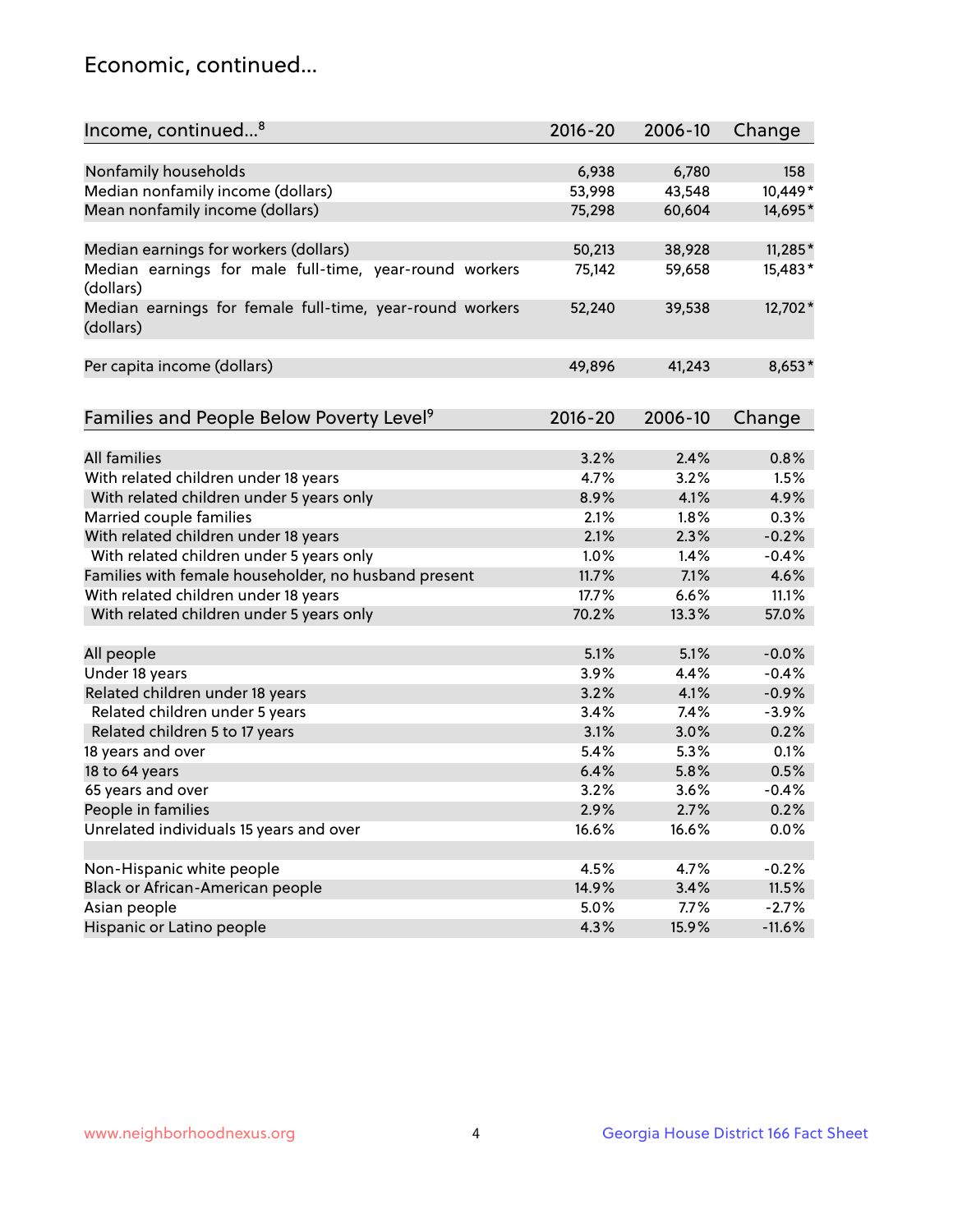## Economic, continued...

| Income, continued <sup>8</sup>                           | 2016-20 | 2006-10 | Change   |
|----------------------------------------------------------|---------|---------|----------|
|                                                          |         |         |          |
| Nonfamily households                                     | 6,938   | 6,780   | 158      |
| Median nonfamily income (dollars)                        | 53,998  | 43,548  | 10,449*  |
| Mean nonfamily income (dollars)                          | 75,298  | 60,604  | 14,695*  |
|                                                          |         |         |          |
| Median earnings for workers (dollars)                    | 50,213  | 38,928  | 11,285*  |
| Median earnings for male full-time, year-round workers   | 75,142  | 59,658  | 15,483*  |
| (dollars)                                                |         |         |          |
| Median earnings for female full-time, year-round workers | 52,240  | 39,538  | 12,702*  |
| (dollars)                                                |         |         |          |
|                                                          |         |         |          |
| Per capita income (dollars)                              | 49,896  | 41,243  | 8,653*   |
|                                                          |         |         |          |
| Families and People Below Poverty Level <sup>9</sup>     | 2016-20 | 2006-10 | Change   |
|                                                          |         |         |          |
| <b>All families</b>                                      | 3.2%    | 2.4%    | 0.8%     |
| With related children under 18 years                     | 4.7%    | 3.2%    | 1.5%     |
| With related children under 5 years only                 | 8.9%    | 4.1%    | 4.9%     |
| Married couple families                                  | 2.1%    | 1.8%    | 0.3%     |
| With related children under 18 years                     | 2.1%    | 2.3%    | $-0.2%$  |
| With related children under 5 years only                 | 1.0%    | 1.4%    | $-0.4%$  |
| Families with female householder, no husband present     | 11.7%   | 7.1%    | 4.6%     |
| With related children under 18 years                     | 17.7%   | 6.6%    | 11.1%    |
| With related children under 5 years only                 | 70.2%   | 13.3%   | 57.0%    |
|                                                          |         |         |          |
| All people                                               | 5.1%    | 5.1%    | $-0.0%$  |
| Under 18 years                                           | 3.9%    | 4.4%    | $-0.4%$  |
| Related children under 18 years                          | 3.2%    | 4.1%    | $-0.9%$  |
| Related children under 5 years                           | 3.4%    | 7.4%    | $-3.9%$  |
| Related children 5 to 17 years                           | 3.1%    | 3.0%    | 0.2%     |
| 18 years and over                                        | 5.4%    | 5.3%    | 0.1%     |
| 18 to 64 years                                           | 6.4%    | 5.8%    | 0.5%     |
| 65 years and over                                        | 3.2%    | 3.6%    | $-0.4%$  |
| People in families                                       | 2.9%    | 2.7%    | 0.2%     |
| Unrelated individuals 15 years and over                  | 16.6%   | 16.6%   | 0.0%     |
|                                                          |         |         |          |
| Non-Hispanic white people                                | 4.5%    | 4.7%    | $-0.2%$  |
| Black or African-American people                         | 14.9%   | 3.4%    | 11.5%    |
| Asian people                                             | 5.0%    | 7.7%    | $-2.7%$  |
| Hispanic or Latino people                                | 4.3%    | 15.9%   | $-11.6%$ |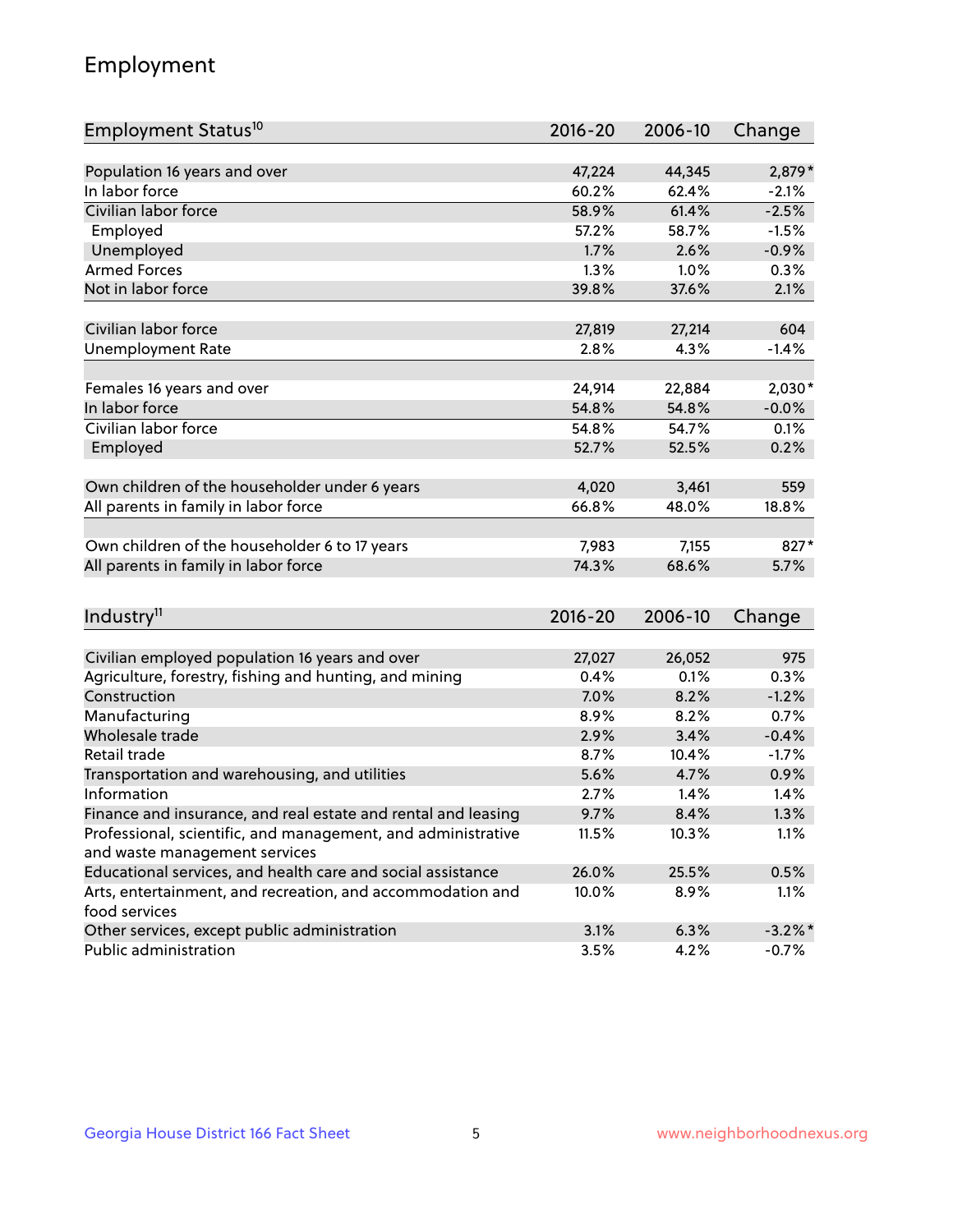## Employment

| Employment Status <sup>10</sup>                                             | $2016 - 20$ | 2006-10 | Change     |
|-----------------------------------------------------------------------------|-------------|---------|------------|
|                                                                             |             |         |            |
| Population 16 years and over                                                | 47,224      | 44,345  | 2,879*     |
| In labor force                                                              | 60.2%       | 62.4%   | $-2.1%$    |
| Civilian labor force                                                        | 58.9%       | 61.4%   | $-2.5%$    |
| Employed                                                                    | 57.2%       | 58.7%   | $-1.5%$    |
| Unemployed                                                                  | 1.7%        | 2.6%    | $-0.9%$    |
| <b>Armed Forces</b>                                                         | 1.3%        | 1.0%    | 0.3%       |
| Not in labor force                                                          | 39.8%       | 37.6%   | 2.1%       |
|                                                                             |             |         |            |
| Civilian labor force                                                        | 27,819      | 27,214  | 604        |
| <b>Unemployment Rate</b>                                                    | 2.8%        | 4.3%    | $-1.4%$    |
| Females 16 years and over                                                   | 24,914      | 22,884  | $2,030*$   |
| In labor force                                                              | 54.8%       | 54.8%   | $-0.0%$    |
| Civilian labor force                                                        | 54.8%       | 54.7%   | 0.1%       |
| Employed                                                                    | 52.7%       | 52.5%   | 0.2%       |
|                                                                             |             |         |            |
| Own children of the householder under 6 years                               | 4,020       | 3,461   | 559        |
| All parents in family in labor force                                        | 66.8%       | 48.0%   | 18.8%      |
|                                                                             |             |         |            |
| Own children of the householder 6 to 17 years                               | 7,983       | 7,155   | $827*$     |
| All parents in family in labor force                                        | 74.3%       | 68.6%   | 5.7%       |
|                                                                             |             |         |            |
| Industry <sup>11</sup>                                                      | $2016 - 20$ | 2006-10 | Change     |
|                                                                             |             |         |            |
| Civilian employed population 16 years and over                              | 27,027      | 26,052  | 975        |
| Agriculture, forestry, fishing and hunting, and mining                      | 0.4%        | 0.1%    | 0.3%       |
| Construction                                                                | 7.0%        | 8.2%    | $-1.2%$    |
| Manufacturing                                                               | 8.9%        | 8.2%    | 0.7%       |
| Wholesale trade                                                             | 2.9%        | 3.4%    | $-0.4%$    |
| Retail trade                                                                | 8.7%        | 10.4%   | $-1.7%$    |
| Transportation and warehousing, and utilities                               | 5.6%        | 4.7%    | 0.9%       |
| Information                                                                 | 2.7%        | 1.4%    | 1.4%       |
| Finance and insurance, and real estate and rental and leasing               | 9.7%        | 8.4%    | 1.3%       |
| Professional, scientific, and management, and administrative                | 11.5%       | 10.3%   | 1.1%       |
| and waste management services                                               |             |         |            |
| Educational services, and health care and social assistance                 | 26.0%       | 25.5%   | 0.5%       |
| Arts, entertainment, and recreation, and accommodation and<br>food services | 10.0%       | 8.9%    | 1.1%       |
| Other services, except public administration                                | 3.1%        | 6.3%    | $-3.2\%$ * |
| Public administration                                                       | 3.5%        | 4.2%    | $-0.7\%$   |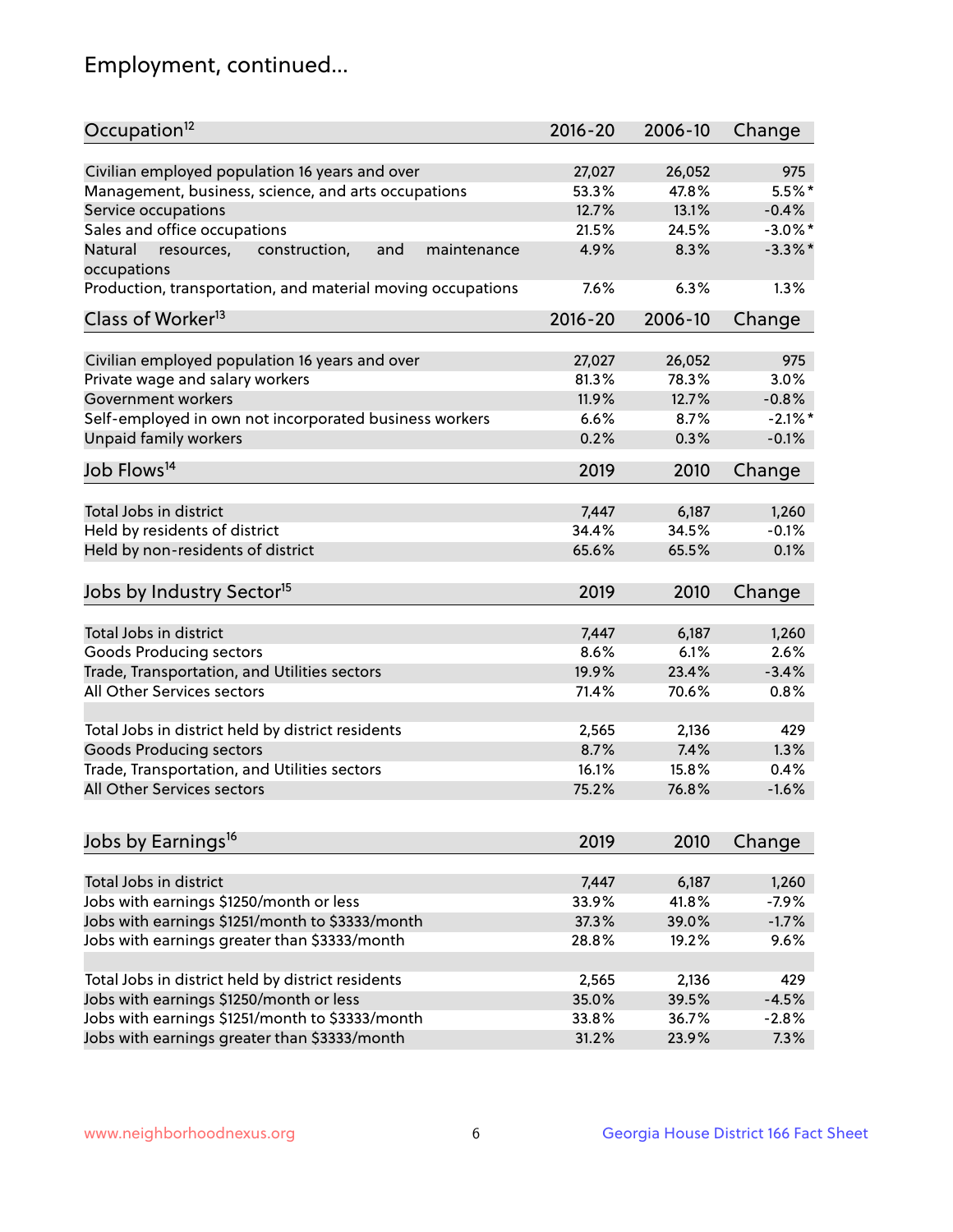## Employment, continued...

| Occupation <sup>12</sup>                                     | $2016 - 20$ | 2006-10 | Change     |
|--------------------------------------------------------------|-------------|---------|------------|
| Civilian employed population 16 years and over               | 27,027      | 26,052  | 975        |
| Management, business, science, and arts occupations          | 53.3%       | 47.8%   | 5.5%*      |
| Service occupations                                          | 12.7%       | 13.1%   | $-0.4%$    |
| Sales and office occupations                                 | 21.5%       | 24.5%   | $-3.0\%$ * |
| and<br>Natural<br>resources,<br>construction,<br>maintenance | 4.9%        | 8.3%    | $-3.3\%$ * |
| occupations                                                  |             |         |            |
| Production, transportation, and material moving occupations  | 7.6%        | 6.3%    | 1.3%       |
| Class of Worker <sup>13</sup>                                | $2016 - 20$ | 2006-10 | Change     |
|                                                              |             |         |            |
| Civilian employed population 16 years and over               | 27,027      | 26,052  | 975        |
| Private wage and salary workers                              | 81.3%       | 78.3%   | 3.0%       |
| Government workers                                           | 11.9%       | 12.7%   | $-0.8%$    |
| Self-employed in own not incorporated business workers       | 6.6%        | 8.7%    | $-2.1\%$ * |
| Unpaid family workers                                        | 0.2%        | 0.3%    | $-0.1%$    |
| Job Flows <sup>14</sup>                                      | 2019        | 2010    | Change     |
|                                                              |             |         |            |
| Total Jobs in district                                       | 7,447       | 6,187   | 1,260      |
| Held by residents of district                                | 34.4%       | 34.5%   | $-0.1%$    |
| Held by non-residents of district                            | 65.6%       | 65.5%   | 0.1%       |
| Jobs by Industry Sector <sup>15</sup>                        | 2019        | 2010    | Change     |
|                                                              |             |         |            |
| Total Jobs in district                                       | 7,447       | 6,187   | 1,260      |
| Goods Producing sectors                                      | 8.6%        | 6.1%    | 2.6%       |
| Trade, Transportation, and Utilities sectors                 | 19.9%       | 23.4%   | $-3.4%$    |
| All Other Services sectors                                   | 71.4%       | 70.6%   | 0.8%       |
| Total Jobs in district held by district residents            | 2,565       | 2,136   | 429        |
| <b>Goods Producing sectors</b>                               | 8.7%        | 7.4%    | 1.3%       |
| Trade, Transportation, and Utilities sectors                 | 16.1%       | 15.8%   | 0.4%       |
| All Other Services sectors                                   | 75.2%       | 76.8%   | $-1.6%$    |
|                                                              |             |         |            |
| Jobs by Earnings <sup>16</sup>                               | 2019        | 2010    | Change     |
|                                                              |             |         |            |
| Total Jobs in district                                       | 7,447       | 6,187   | 1,260      |
| Jobs with earnings \$1250/month or less                      | 33.9%       | 41.8%   | $-7.9%$    |
| Jobs with earnings \$1251/month to \$3333/month              | 37.3%       | 39.0%   | $-1.7%$    |
| Jobs with earnings greater than \$3333/month                 | 28.8%       | 19.2%   | 9.6%       |
| Total Jobs in district held by district residents            | 2,565       | 2,136   | 429        |
| Jobs with earnings \$1250/month or less                      | 35.0%       | 39.5%   | $-4.5%$    |
| Jobs with earnings \$1251/month to \$3333/month              | 33.8%       | 36.7%   | $-2.8%$    |
| Jobs with earnings greater than \$3333/month                 | 31.2%       | 23.9%   | 7.3%       |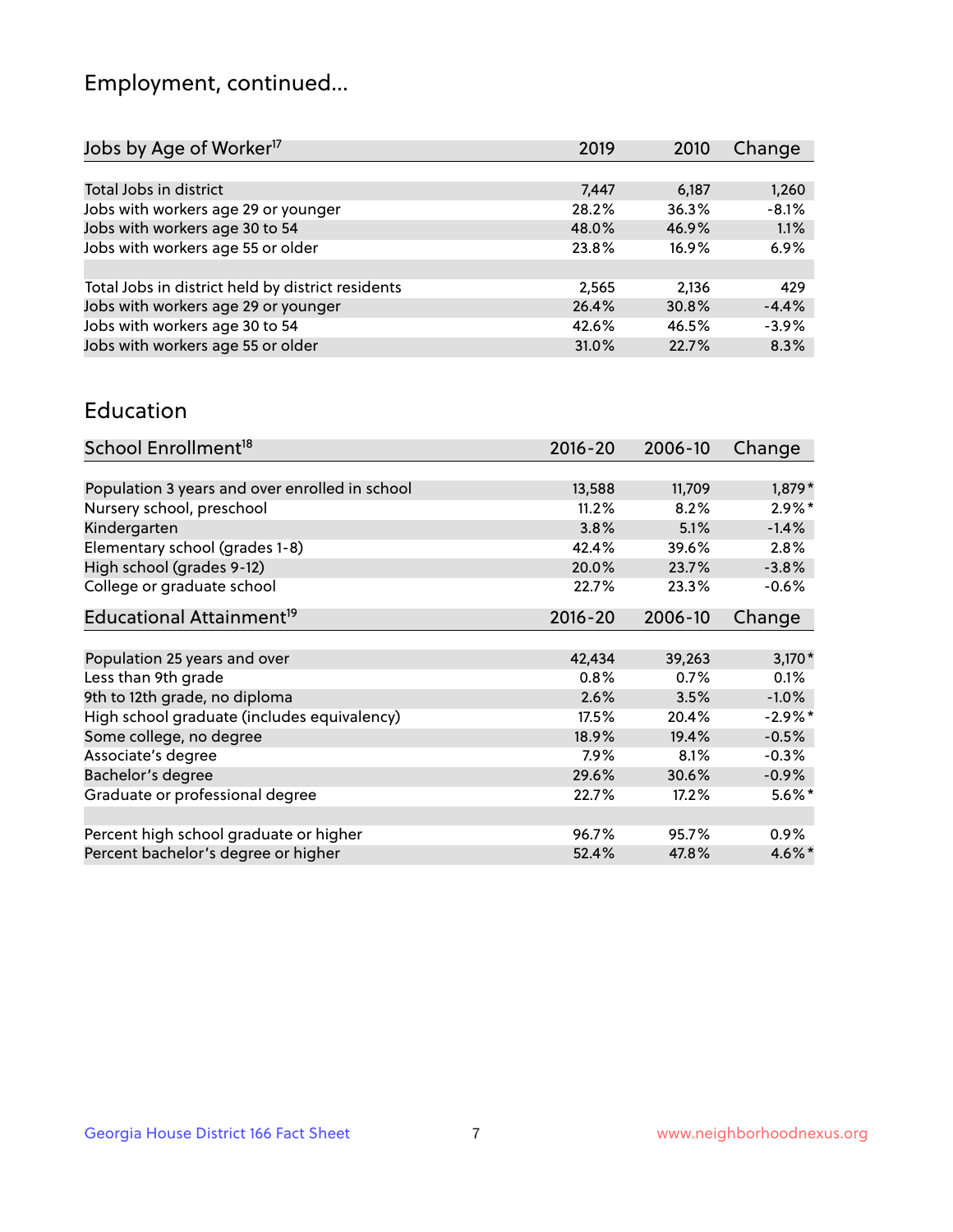## Employment, continued...

| Jobs by Age of Worker <sup>17</sup>               | 2019  | 2010  | Change  |
|---------------------------------------------------|-------|-------|---------|
|                                                   |       |       |         |
| Total Jobs in district                            | 7,447 | 6,187 | 1,260   |
| Jobs with workers age 29 or younger               | 28.2% | 36.3% | $-8.1%$ |
| Jobs with workers age 30 to 54                    | 48.0% | 46.9% | 1.1%    |
| Jobs with workers age 55 or older                 | 23.8% | 16.9% | 6.9%    |
|                                                   |       |       |         |
| Total Jobs in district held by district residents | 2,565 | 2,136 | 429     |
| Jobs with workers age 29 or younger               | 26.4% | 30.8% | $-4.4%$ |
| Jobs with workers age 30 to 54                    | 42.6% | 46.5% | $-3.9%$ |
| Jobs with workers age 55 or older                 | 31.0% | 22.7% | 8.3%    |
|                                                   |       |       |         |

#### Education

| School Enrollment <sup>18</sup>                | $2016 - 20$ | 2006-10 | Change               |
|------------------------------------------------|-------------|---------|----------------------|
|                                                |             |         |                      |
| Population 3 years and over enrolled in school | 13,588      | 11,709  | $1,879*$             |
| Nursery school, preschool                      | 11.2%       | 8.2%    | $2.9\%$ *            |
| Kindergarten                                   | 3.8%        | 5.1%    | $-1.4%$              |
| Elementary school (grades 1-8)                 | 42.4%       | 39.6%   | 2.8%                 |
| High school (grades 9-12)                      | 20.0%       | 23.7%   | $-3.8%$              |
| College or graduate school                     | 22.7%       | 23.3%   | $-0.6%$              |
| Educational Attainment <sup>19</sup>           | $2016 - 20$ | 2006-10 | Change               |
|                                                |             |         |                      |
| Population 25 years and over                   | 42,434      | 39,263  | $3,170*$             |
| Less than 9th grade                            | 0.8%        | 0.7%    | 0.1%                 |
| 9th to 12th grade, no diploma                  | 2.6%        | 3.5%    | $-1.0%$              |
| High school graduate (includes equivalency)    | 17.5%       | 20.4%   | $-2.9\%$ *           |
| Some college, no degree                        | 18.9%       | 19.4%   | $-0.5%$              |
| Associate's degree                             | 7.9%        | 8.1%    | $-0.3%$              |
| Bachelor's degree                              | 29.6%       | 30.6%   | $-0.9\%$             |
| Graduate or professional degree                | 22.7%       | 17.2%   | $5.6\%$ *            |
|                                                |             |         |                      |
| Percent high school graduate or higher         | 96.7%       | 95.7%   | 0.9%                 |
| Percent bachelor's degree or higher            | 52.4%       | 47.8%   | $4.6\%$ <sup>*</sup> |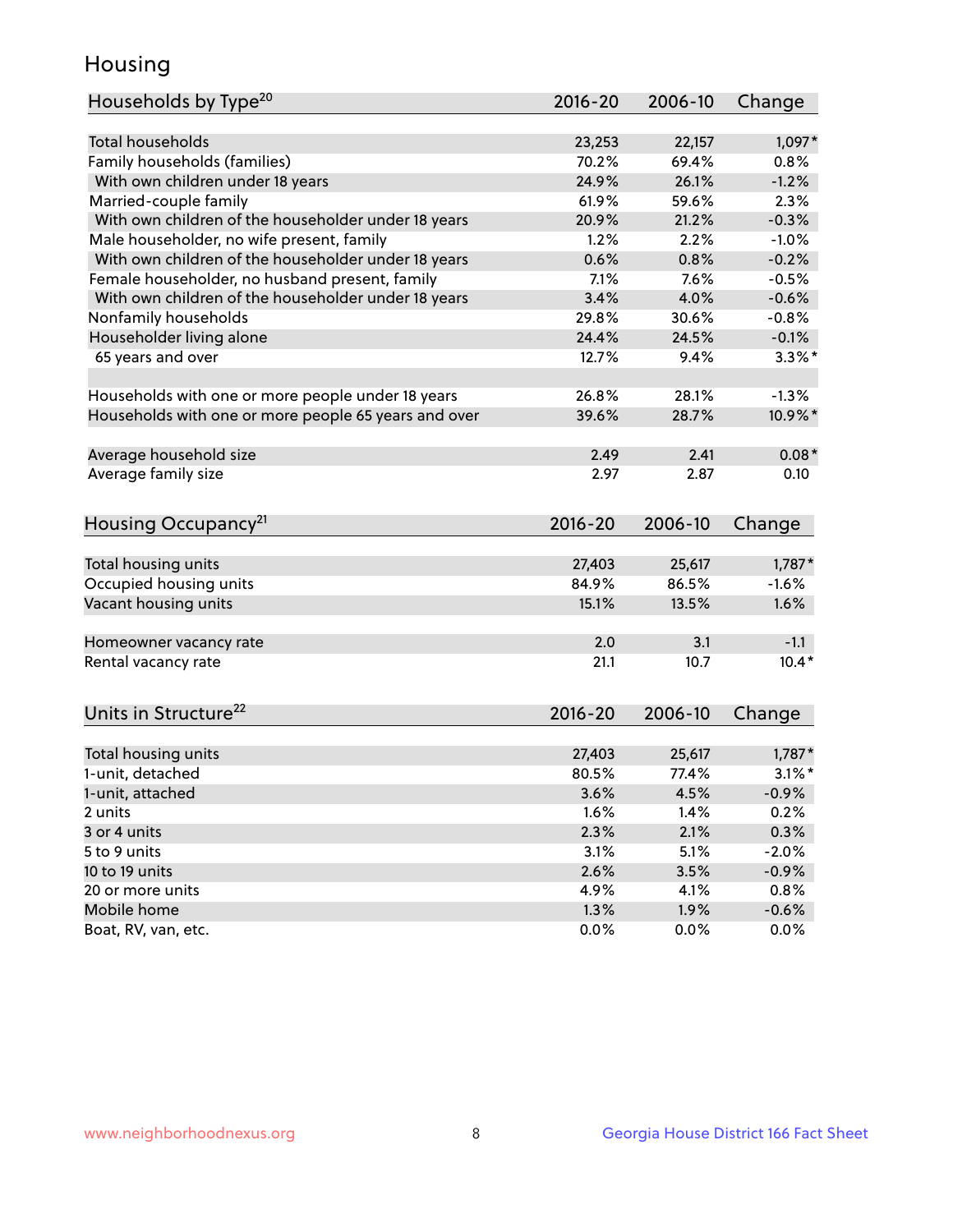## Housing

| <b>Total households</b><br>23,253<br>22,157<br>1,097*<br>Family households (families)<br>70.2%<br>69.4%<br>0.8%<br>24.9%<br>26.1%<br>$-1.2%$<br>With own children under 18 years<br>Married-couple family<br>59.6%<br>61.9%<br>2.3%<br>With own children of the householder under 18 years<br>20.9%<br>21.2%<br>$-0.3%$<br>1.2%<br>2.2%<br>$-1.0%$ |
|----------------------------------------------------------------------------------------------------------------------------------------------------------------------------------------------------------------------------------------------------------------------------------------------------------------------------------------------------|
|                                                                                                                                                                                                                                                                                                                                                    |
|                                                                                                                                                                                                                                                                                                                                                    |
|                                                                                                                                                                                                                                                                                                                                                    |
|                                                                                                                                                                                                                                                                                                                                                    |
|                                                                                                                                                                                                                                                                                                                                                    |
|                                                                                                                                                                                                                                                                                                                                                    |
| Male householder, no wife present, family                                                                                                                                                                                                                                                                                                          |
| With own children of the householder under 18 years<br>0.6%<br>0.8%<br>$-0.2%$                                                                                                                                                                                                                                                                     |
| Female householder, no husband present, family<br>7.1%<br>7.6%<br>$-0.5%$                                                                                                                                                                                                                                                                          |
| With own children of the householder under 18 years<br>3.4%<br>4.0%<br>$-0.6%$                                                                                                                                                                                                                                                                     |
| Nonfamily households<br>29.8%<br>30.6%<br>$-0.8%$                                                                                                                                                                                                                                                                                                  |
| Householder living alone<br>24.4%<br>24.5%<br>$-0.1%$                                                                                                                                                                                                                                                                                              |
| 12.7%<br>$3.3\%$ *<br>65 years and over<br>9.4%                                                                                                                                                                                                                                                                                                    |
|                                                                                                                                                                                                                                                                                                                                                    |
| 26.8%<br>28.1%<br>$-1.3%$<br>Households with one or more people under 18 years                                                                                                                                                                                                                                                                     |
| Households with one or more people 65 years and over<br>39.6%<br>28.7%<br>10.9%*                                                                                                                                                                                                                                                                   |
|                                                                                                                                                                                                                                                                                                                                                    |
| $0.08*$<br>Average household size<br>2.49<br>2.41                                                                                                                                                                                                                                                                                                  |
| Average family size<br>2.97<br>2.87<br>0.10                                                                                                                                                                                                                                                                                                        |
|                                                                                                                                                                                                                                                                                                                                                    |
| Housing Occupancy <sup>21</sup><br>2016-20<br>2006-10<br>Change                                                                                                                                                                                                                                                                                    |
|                                                                                                                                                                                                                                                                                                                                                    |
| Total housing units<br>27,403<br>25,617<br>1,787*                                                                                                                                                                                                                                                                                                  |
| Occupied housing units<br>$-1.6%$<br>84.9%<br>86.5%                                                                                                                                                                                                                                                                                                |
| Vacant housing units<br>1.6%<br>15.1%<br>13.5%                                                                                                                                                                                                                                                                                                     |
|                                                                                                                                                                                                                                                                                                                                                    |
| 2.0<br>3.1<br>$-1.1$<br>Homeowner vacancy rate                                                                                                                                                                                                                                                                                                     |
| $10.4*$<br>Rental vacancy rate<br>21.1<br>10.7                                                                                                                                                                                                                                                                                                     |
|                                                                                                                                                                                                                                                                                                                                                    |
| Units in Structure <sup>22</sup><br>2016-20<br>2006-10<br>Change                                                                                                                                                                                                                                                                                   |
|                                                                                                                                                                                                                                                                                                                                                    |
| Total housing units<br>27,403<br>25,617<br>$1,787*$                                                                                                                                                                                                                                                                                                |
| $3.1\%$ *<br>1-unit, detached<br>80.5%<br>77.4%                                                                                                                                                                                                                                                                                                    |
| 3.6%<br>4.5%<br>$-0.9%$<br>1-unit, attached                                                                                                                                                                                                                                                                                                        |
| 1.6%<br>0.2%<br>2 units<br>1.4%                                                                                                                                                                                                                                                                                                                    |
| 2.3%<br>2.1%<br>0.3%<br>3 or 4 units                                                                                                                                                                                                                                                                                                               |
| 3.1%<br>5.1%<br>5 to 9 units<br>$-2.0%$                                                                                                                                                                                                                                                                                                            |
| 2.6%<br>10 to 19 units<br>3.5%<br>$-0.9%$                                                                                                                                                                                                                                                                                                          |
| 20 or more units<br>4.9%<br>0.8%<br>4.1%                                                                                                                                                                                                                                                                                                           |
| Mobile home<br>1.3%<br>1.9%<br>$-0.6%$                                                                                                                                                                                                                                                                                                             |
| Boat, RV, van, etc.<br>0.0%<br>0.0%<br>0.0%                                                                                                                                                                                                                                                                                                        |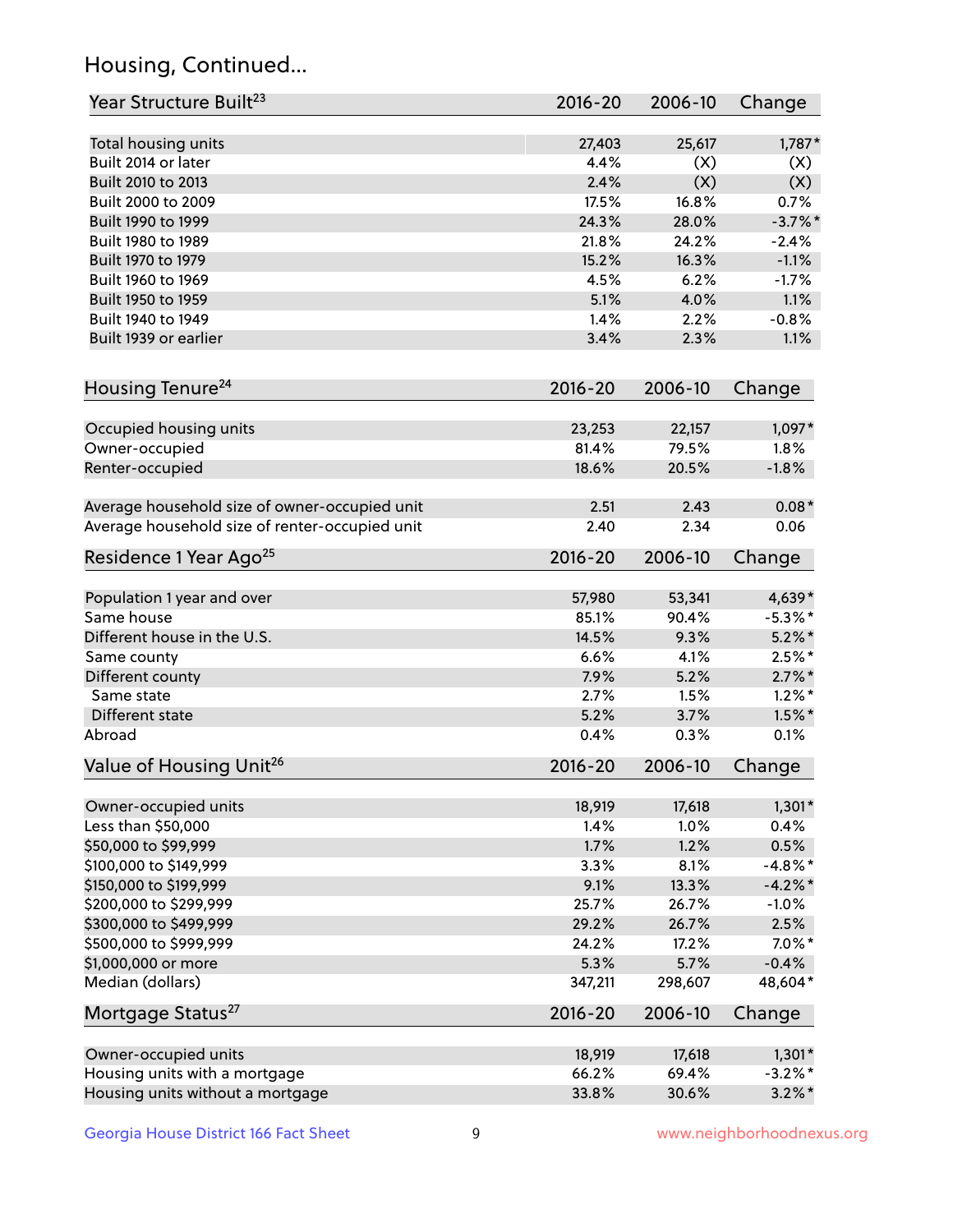## Housing, Continued...

| Year Structure Built <sup>23</sup>             | 2016-20     | 2006-10 | Change     |
|------------------------------------------------|-------------|---------|------------|
| Total housing units                            | 27,403      | 25,617  | $1,787*$   |
| Built 2014 or later                            | 4.4%        | (X)     | (X)        |
| Built 2010 to 2013                             | 2.4%        | (X)     | (X)        |
| Built 2000 to 2009                             | 17.5%       | 16.8%   | 0.7%       |
| Built 1990 to 1999                             | 24.3%       | 28.0%   | $-3.7\%$ * |
| Built 1980 to 1989                             | 21.8%       | 24.2%   | $-2.4%$    |
| Built 1970 to 1979                             | 15.2%       | 16.3%   | $-1.1%$    |
| Built 1960 to 1969                             | 4.5%        | 6.2%    | $-1.7%$    |
| Built 1950 to 1959                             | 5.1%        | 4.0%    | 1.1%       |
| Built 1940 to 1949                             | 1.4%        | 2.2%    | $-0.8%$    |
| Built 1939 or earlier                          | 3.4%        | 2.3%    | 1.1%       |
| Housing Tenure <sup>24</sup>                   | $2016 - 20$ | 2006-10 | Change     |
|                                                |             |         |            |
| Occupied housing units                         | 23,253      | 22,157  | 1,097*     |
| Owner-occupied                                 | 81.4%       | 79.5%   | 1.8%       |
| Renter-occupied                                | 18.6%       | 20.5%   | $-1.8%$    |
| Average household size of owner-occupied unit  | 2.51        | 2.43    | $0.08*$    |
| Average household size of renter-occupied unit | 2.40        | 2.34    | 0.06       |
| Residence 1 Year Ago <sup>25</sup>             | $2016 - 20$ | 2006-10 | Change     |
| Population 1 year and over                     | 57,980      | 53,341  | 4,639*     |
| Same house                                     | 85.1%       | 90.4%   | $-5.3\%$ * |
| Different house in the U.S.                    | 14.5%       | 9.3%    | $5.2\%$ *  |
| Same county                                    | 6.6%        | 4.1%    | $2.5%$ *   |
| Different county                               | 7.9%        | 5.2%    | $2.7\%$ *  |
| Same state                                     | 2.7%        | 1.5%    | $1.2\%$ *  |
| Different state                                | 5.2%        | 3.7%    | $1.5\%$ *  |
| Abroad                                         | 0.4%        | 0.3%    | 0.1%       |
| Value of Housing Unit <sup>26</sup>            | $2016 - 20$ | 2006-10 | Change     |
|                                                |             |         |            |
| Owner-occupied units                           | 18,919      | 17,618  | $1,301*$   |
| Less than \$50,000                             | 1.4%        | 1.0%    | 0.4%       |
| \$50,000 to \$99,999                           | 1.7%        | 1.2%    | 0.5%       |
| \$100,000 to \$149,999                         | 3.3%        | 8.1%    | $-4.8\%$ * |
| \$150,000 to \$199,999                         | 9.1%        | 13.3%   | $-4.2\%$ * |
| \$200,000 to \$299,999                         | 25.7%       | 26.7%   | $-1.0%$    |
| \$300,000 to \$499,999                         | 29.2%       | 26.7%   | 2.5%       |
| \$500,000 to \$999,999                         | 24.2%       | 17.2%   | $7.0\%$ *  |
| \$1,000,000 or more                            | 5.3%        | 5.7%    | $-0.4%$    |
| Median (dollars)                               | 347,211     | 298,607 | 48,604*    |
| Mortgage Status <sup>27</sup>                  | $2016 - 20$ | 2006-10 | Change     |
| Owner-occupied units                           | 18,919      | 17,618  | $1,301*$   |
| Housing units with a mortgage                  | 66.2%       | 69.4%   | $-3.2\%$ * |
| Housing units without a mortgage               | 33.8%       | 30.6%   | $3.2\%$ *  |
|                                                |             |         |            |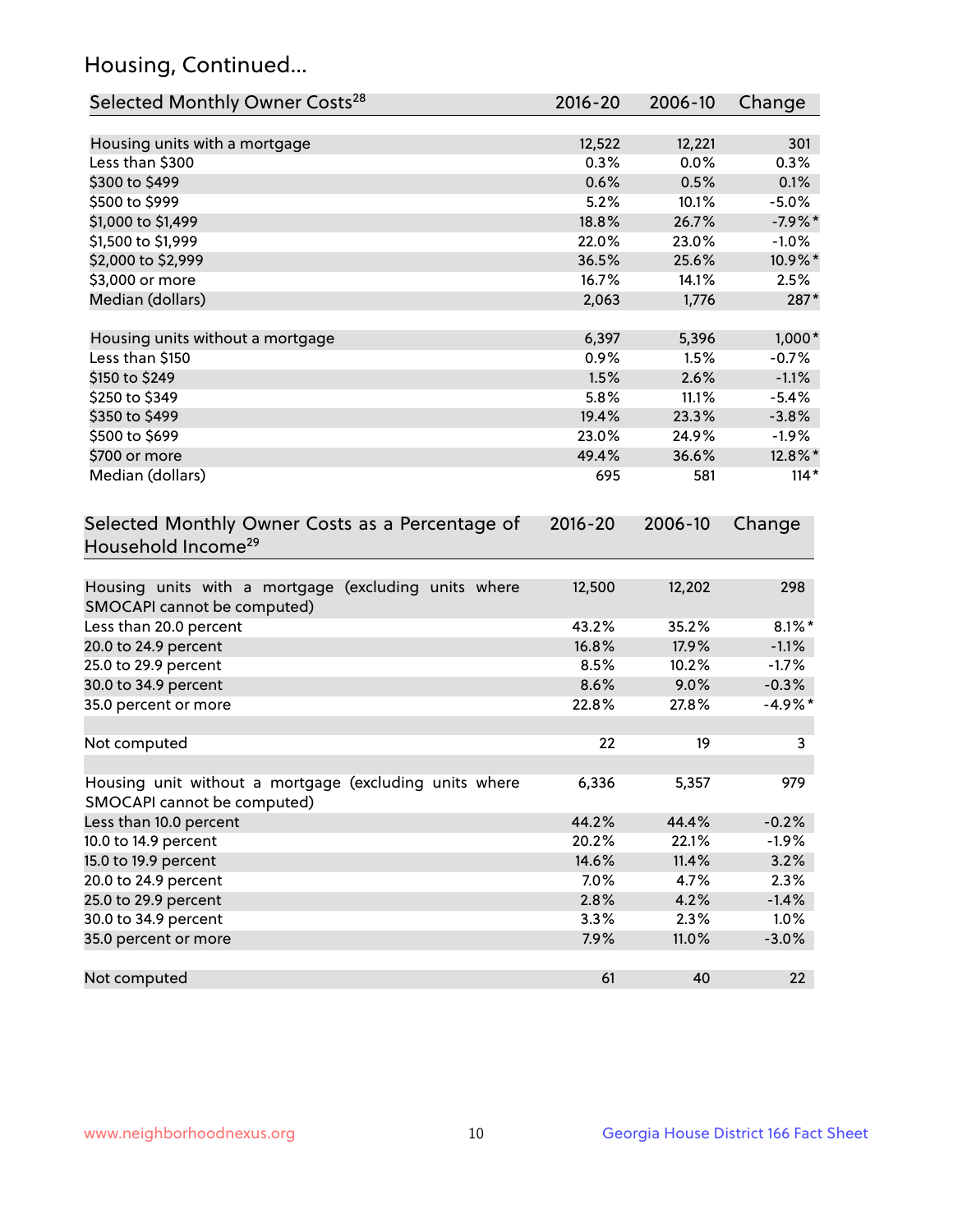## Housing, Continued...

| Selected Monthly Owner Costs <sup>28</sup>                                            | $2016 - 20$ | 2006-10 | Change    |
|---------------------------------------------------------------------------------------|-------------|---------|-----------|
| Housing units with a mortgage                                                         | 12,522      | 12,221  | 301       |
| Less than \$300                                                                       | 0.3%        | 0.0%    | 0.3%      |
| \$300 to \$499                                                                        | 0.6%        | 0.5%    | 0.1%      |
| \$500 to \$999                                                                        | 5.2%        | 10.1%   | $-5.0%$   |
| \$1,000 to \$1,499                                                                    | 18.8%       | 26.7%   | $-7.9%$ * |
| \$1,500 to \$1,999                                                                    | 22.0%       | 23.0%   | $-1.0%$   |
| \$2,000 to \$2,999                                                                    | 36.5%       | 25.6%   | 10.9%*    |
| \$3,000 or more                                                                       | 16.7%       | 14.1%   | 2.5%      |
| Median (dollars)                                                                      | 2,063       | 1,776   | 287*      |
| Housing units without a mortgage                                                      | 6,397       | 5,396   | $1,000*$  |
| Less than \$150                                                                       | 0.9%        | 1.5%    | $-0.7%$   |
| \$150 to \$249                                                                        | 1.5%        | 2.6%    | $-1.1%$   |
| \$250 to \$349                                                                        | 5.8%        | 11.1%   | $-5.4%$   |
| \$350 to \$499                                                                        | 19.4%       | 23.3%   | $-3.8%$   |
| \$500 to \$699                                                                        | 23.0%       | 24.9%   | $-1.9%$   |
| \$700 or more                                                                         | 49.4%       | 36.6%   | 12.8%*    |
| Median (dollars)                                                                      | 695         | 581     | $114*$    |
| Selected Monthly Owner Costs as a Percentage of<br>Household Income <sup>29</sup>     | $2016 - 20$ | 2006-10 | Change    |
| Housing units with a mortgage (excluding units where<br>SMOCAPI cannot be computed)   | 12,500      | 12,202  | 298       |
| Less than 20.0 percent                                                                | 43.2%       | 35.2%   | $8.1\%$ * |
| 20.0 to 24.9 percent                                                                  | 16.8%       | 17.9%   | $-1.1%$   |
| 25.0 to 29.9 percent                                                                  | 8.5%        | 10.2%   | $-1.7%$   |
| 30.0 to 34.9 percent                                                                  | 8.6%        | 9.0%    | $-0.3%$   |
| 35.0 percent or more                                                                  | 22.8%       | 27.8%   | $-4.9%$ * |
| Not computed                                                                          | 22          | 19      | 3         |
| Housing unit without a mortgage (excluding units where<br>SMOCAPI cannot be computed) | 6,336       | 5,357   | 979       |
| Less than 10.0 percent                                                                | 44.2%       | 44.4%   | $-0.2%$   |
| 10.0 to 14.9 percent                                                                  | 20.2%       | 22.1%   | $-1.9%$   |
| 15.0 to 19.9 percent                                                                  | 14.6%       | 11.4%   | 3.2%      |
| 20.0 to 24.9 percent                                                                  | 7.0%        | 4.7%    | 2.3%      |
| 25.0 to 29.9 percent                                                                  | 2.8%        | 4.2%    | $-1.4%$   |
| 30.0 to 34.9 percent                                                                  | 3.3%        | 2.3%    | 1.0%      |
| 35.0 percent or more                                                                  | 7.9%        | 11.0%   | $-3.0%$   |
| Not computed                                                                          | 61          | 40      | 22        |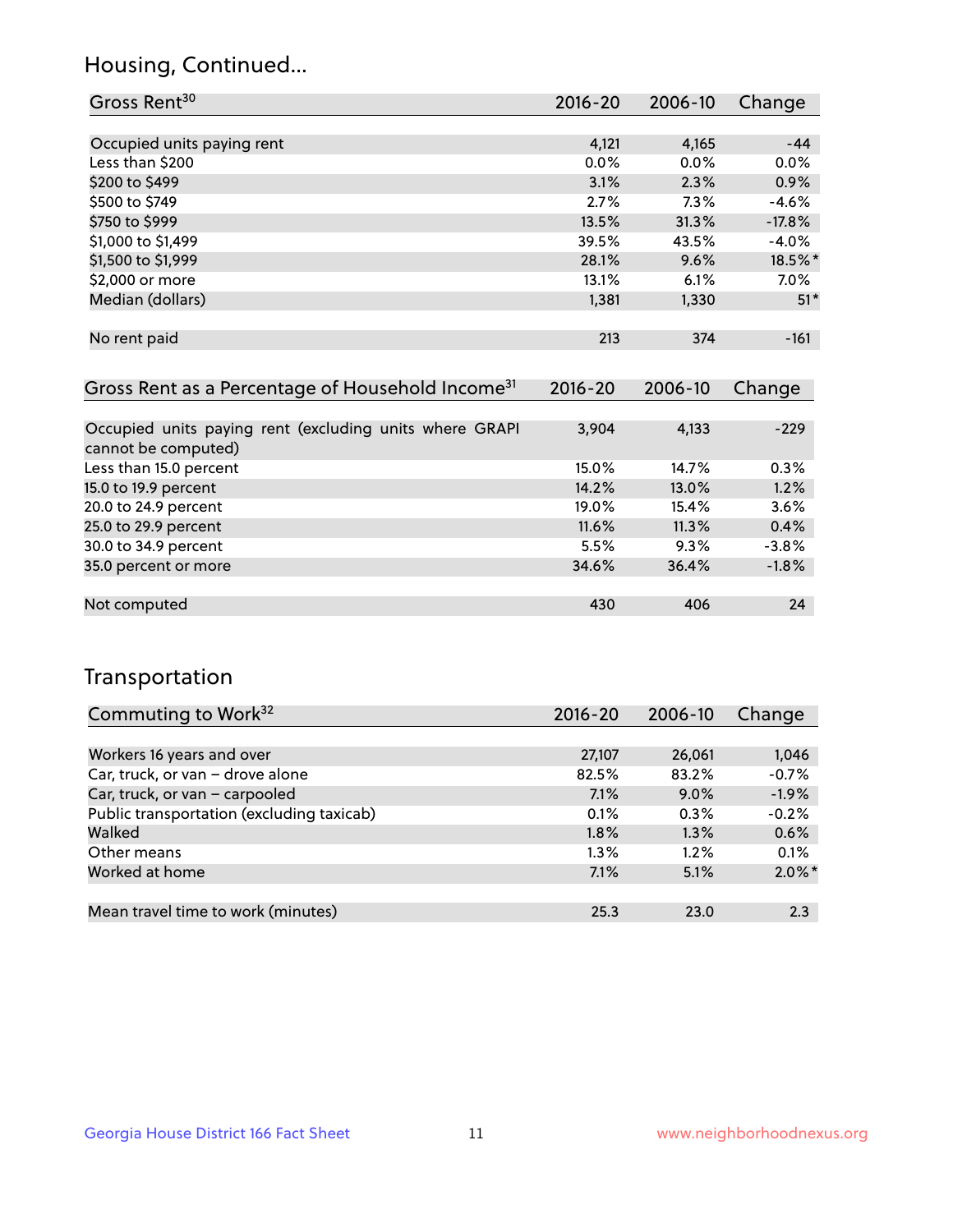## Housing, Continued...

| Gross Rent <sup>30</sup>   | 2016-20 | 2006-10 | Change   |
|----------------------------|---------|---------|----------|
|                            |         |         |          |
| Occupied units paying rent | 4,121   | 4,165   | $-44$    |
| Less than \$200            | 0.0%    | $0.0\%$ | 0.0%     |
| \$200 to \$499             | 3.1%    | 2.3%    | 0.9%     |
| \$500 to \$749             | 2.7%    | 7.3%    | $-4.6%$  |
| \$750 to \$999             | 13.5%   | 31.3%   | $-17.8%$ |
| \$1,000 to \$1,499         | 39.5%   | 43.5%   | $-4.0%$  |
| \$1,500 to \$1,999         | 28.1%   | 9.6%    | 18.5%*   |
| \$2,000 or more            | 13.1%   | 6.1%    | $7.0\%$  |
| Median (dollars)           | 1,381   | 1,330   | $51*$    |
|                            |         |         |          |
| No rent paid               | 213     | 374     | $-161$   |

| Gross Rent as a Percentage of Household Income <sup>31</sup>                   | $2016 - 20$ | 2006-10 | Change  |
|--------------------------------------------------------------------------------|-------------|---------|---------|
|                                                                                |             |         |         |
| Occupied units paying rent (excluding units where GRAPI<br>cannot be computed) | 3,904       | 4,133   | $-229$  |
| Less than 15.0 percent                                                         | 15.0%       | 14.7%   | 0.3%    |
| 15.0 to 19.9 percent                                                           | 14.2%       | 13.0%   | 1.2%    |
| 20.0 to 24.9 percent                                                           | 19.0%       | 15.4%   | 3.6%    |
| 25.0 to 29.9 percent                                                           | 11.6%       | 11.3%   | 0.4%    |
| 30.0 to 34.9 percent                                                           | 5.5%        | 9.3%    | $-3.8%$ |
| 35.0 percent or more                                                           | 34.6%       | 36.4%   | $-1.8%$ |
|                                                                                |             |         |         |
| Not computed                                                                   | 430         | 406     | 24      |

## Transportation

| Commuting to Work <sup>32</sup>           | 2016-20 | 2006-10 | Change    |
|-------------------------------------------|---------|---------|-----------|
|                                           |         |         |           |
| Workers 16 years and over                 | 27,107  | 26,061  | 1,046     |
| Car, truck, or van - drove alone          | 82.5%   | 83.2%   | $-0.7%$   |
| Car, truck, or van - carpooled            | 7.1%    | $9.0\%$ | $-1.9%$   |
| Public transportation (excluding taxicab) | 0.1%    | $0.3\%$ | $-0.2%$   |
| Walked                                    | 1.8%    | 1.3%    | 0.6%      |
| Other means                               | $1.3\%$ | $1.2\%$ | 0.1%      |
| Worked at home                            | 7.1%    | 5.1%    | $2.0\%$ * |
|                                           |         |         |           |
| Mean travel time to work (minutes)        | 25.3    | 23.0    | 2.3       |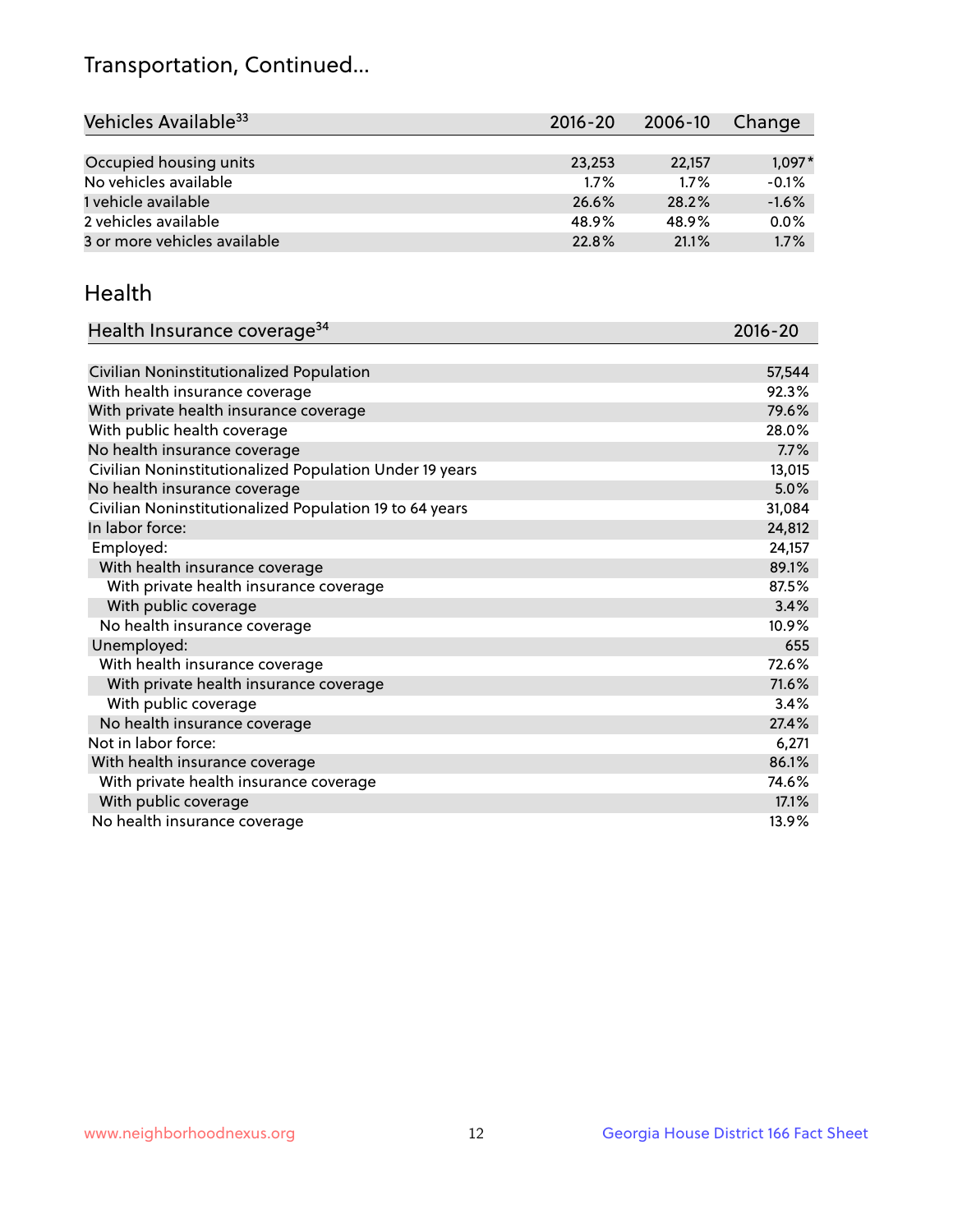## Transportation, Continued...

| Vehicles Available <sup>33</sup> | $2016 - 20$ | 2006-10 | Change   |
|----------------------------------|-------------|---------|----------|
|                                  |             |         |          |
| Occupied housing units           | 23,253      | 22,157  | $1,097*$ |
| No vehicles available            | $1.7\%$     | $1.7\%$ | $-0.1%$  |
| 1 vehicle available              | 26.6%       | 28.2%   | $-1.6%$  |
| 2 vehicles available             | 48.9%       | 48.9%   | 0.0%     |
| 3 or more vehicles available     | 22.8%       | 21.1%   | 1.7%     |

#### Health

| Health Insurance coverage <sup>34</sup>                 | 2016-20 |
|---------------------------------------------------------|---------|
|                                                         |         |
| Civilian Noninstitutionalized Population                | 57,544  |
| With health insurance coverage                          | 92.3%   |
| With private health insurance coverage                  | 79.6%   |
| With public health coverage                             | 28.0%   |
| No health insurance coverage                            | 7.7%    |
| Civilian Noninstitutionalized Population Under 19 years | 13,015  |
| No health insurance coverage                            | 5.0%    |
| Civilian Noninstitutionalized Population 19 to 64 years | 31,084  |
| In labor force:                                         | 24,812  |
| Employed:                                               | 24,157  |
| With health insurance coverage                          | 89.1%   |
| With private health insurance coverage                  | 87.5%   |
| With public coverage                                    | 3.4%    |
| No health insurance coverage                            | 10.9%   |
| Unemployed:                                             | 655     |
| With health insurance coverage                          | 72.6%   |
| With private health insurance coverage                  | 71.6%   |
| With public coverage                                    | 3.4%    |
| No health insurance coverage                            | 27.4%   |
| Not in labor force:                                     | 6,271   |
| With health insurance coverage                          | 86.1%   |
| With private health insurance coverage                  | 74.6%   |
| With public coverage                                    | 17.1%   |
| No health insurance coverage                            | 13.9%   |